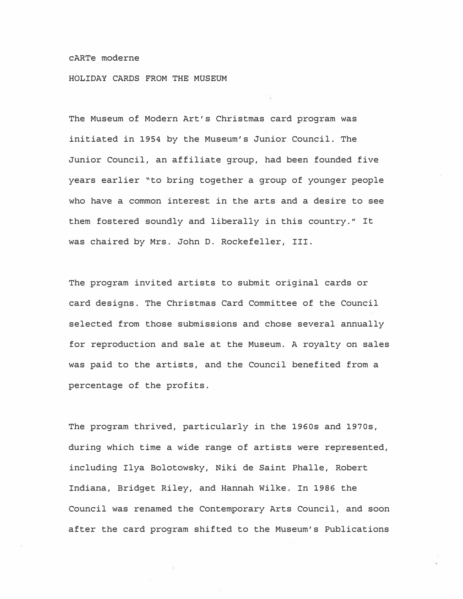## cARTe moderne

HOLIDAY CARDS FROM THE MUSEUM

The Museum of Modern Art's Christmas card program was initiated in 1954 by the Museum's Junior Council. The Junior Council, an affiliate group, had been founded five years earlier "to bring together a group of younger people who have a common interest in the arts and a desire to see them fostered soundly and liberally in this country." It was chaired by Mrs. John D. Rockefeller, III.

The program invited artists to submit original cards or card designs. The Christmas Card Committee of the Council selected from those submissions and chose several annually for reproduction and sale at the Museum. A royalty on sales was paid to the artists, and the Council benefited from a percentage of the profits.

The program thrived, particularly in the 1960s and 1970s, during which time a wide range of artists were represented, including Ilya Bolotowsky, Niki de Saint Phalle, Robert Indiana, Bridget Riley, and Hannah Wilke. In 1986 the Council was renamed the Contemporary Arts Council, and soon after the card program shifted to the Museum's Publications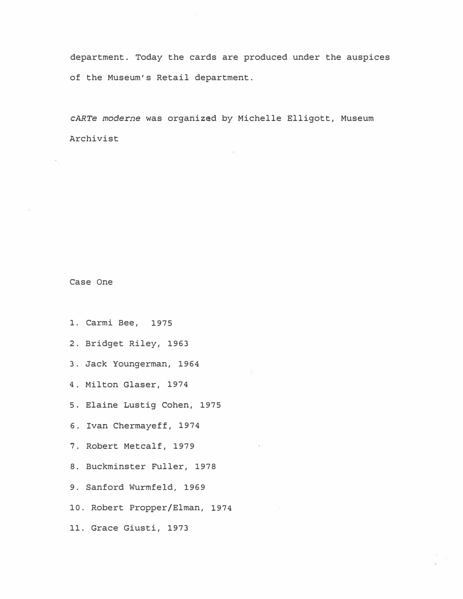department. Today the cards are produced under the auspices of the Museum's Retail department.

cARTe moderne was organized by Michelle Elligott, Museum Archivist

Case One

- 1. Carmi Bee, 1975
- 2. Bridget Riley, 1963
- 3. Jack Youngerman, 1964
- 4 . Milton Glaser, 1974
- 5 . Elaine Lustig Cohen, 1975
- 6. Ivan Chermayeff, 1974
- 7. Robert Metcalf, 1979
- 8. Buckminster Fuller, 1978
- 9. Sanford Wurmfeld, 1969
- 10. Robert Propper/Elman, 1974
- 11. Grace Giusti, 1973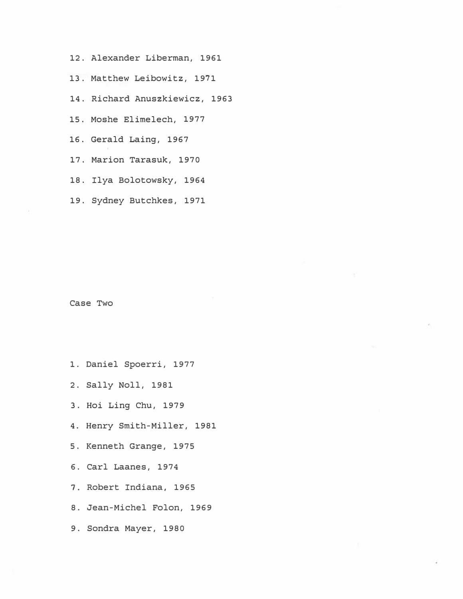- 12. Alexander Liberman, 1961
- 13. Matthew Leibowitz, 1971
- 14. Richard Anuszkiewicz, 1963
- 15. Moshe Elimelech, 1977
- 16. Gerald Laing, 1967
- 17. Marion Tarasuk, 1970
- 18. Ilya Bolotowsky, 1964
- 19. Sydney Butchkes, 1971

Case Two

- 1. Daniel Spoerri, 1977
- 2. Sally Noll, 1981
- 3. Hoi Ling Chu, 1979
- 4. Henry Smith-Miller, 1981
- 5. Kenneth Grange, 1975
- 6. Carl Laanes, 1974
- 7. Robert Indiana, 1965
- 8. Jean-Michel Folon, 1969
- 9. Sondra Mayer, 1980